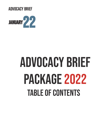ADVOCACY BRIEF



# ADVOCACY BRIEF PACKAGE 2022 **TABLE OF CONTENTS**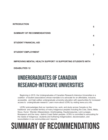|                                   | 5 |
|-----------------------------------|---|
| <b>SUMMARY OF RECOMMENDATIONS</b> | 4 |
| <b>STUDENT FINANCIAL AID</b>      | 5 |
| <b>STUDENT EMPLOYMENT</b>         |   |

#### **IMPROVING MENTAL HEALTH SUPPORT 10 SUPPORTING STUDENTS WITH**

**DISABILITIES 12**

**INTRODUCTION**

### UNDERGRADUATES OF CANADIAN RESEARCH-INTENSIVE UNIVERSITIES

Beginning in 2015, the Undergraduates of Canadian Research-Intensive Universities is a coalition of student associations whose mandate is to advocate for an affordable, inclusive, accessible, and high-caliber undergraduate university education with opportunities for increased access to undergraduate research. Learn more about UCRU by visiting www.ucru.info.

UCRU acknowledges that our members live, work, and study across Canada on the traditional and unceded territory of many Indigenous peoples including the Cree, Dené, Métis, Sioux, Huron Wendat, Attawandaran, Anishinaabeg, Haudenosaunee, Leni-Lunaape, Musqeaum and the many distinct Coast Salish peoples. UCRU is committed to advocating for the needs of Indigenous students and furthering Indigenization, decolonization, and reconciliation in our communities and beyond.

### SUMMARY OF RECOMMENDATIONS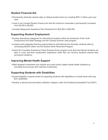### **Student Financial Aid**

- Permanently eliminate interest rates on federal student loans by investing \$551.3 million year-over year.
- Invest in the Canada Student Grants such that the maximum receivable is permanently increased from \$3,000 to \$6,000.
- Increase Repayment Assistance Plan threshold from \$30,000 to \$50,000.

### **Supporting Student Employment**

- Develop specialized categories for international students within the framework of the Youth Employment and Skills Strategy and the Canada Summer Jobs program.
- Increase work-integrated learning opportunities for international and domestic students alike by reinvesting \$239.8 million into the Student Work Placement Program.
- Amend the Canadian Experience Class (Express Entry) program such that international students are able to count part-time employment experience while they are full-time students towards their permanent residency.

#### **Improving Mental Health Support**

• Make targeted investments into student and youth-centric digital mental health initiatives by providing the provinces with matched investments.

#### **Supporting Students with Disabilities**

- Expand eligibility of grants aimed at supporting students with disabilities to include those with long term disabilities.
- Develop a special post-secondary institution category under the Enabling Accessibility Fund (EAF).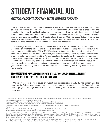### STUDENT FINANCIAL AID

### Investing in Students Today For a Better Workforce Tomorrow

UCRU was excited to hear about the waiver of interest accruals on Federal loans until March 2023 as this will provide students with essential relief. <sup>1</sup> Additionally, UCRU was also excited to see the commitments made by political parties around the permanent removal of interest rates on federal student loans during the 2021 federal snap election.<sup>23</sup> Moreover, we were happy to see commitments around permanently doubling the Canada Student Grants (CSG) in acknowledging that moving towards a grant-system provides students with major financial relief such that they would be able to contribute more effectively to the Canadian workforce and economy. 4

The average post-secondary qualification in Canada costs approximately \$26,000 over 4 years.<sup>5</sup> Depending on whether a student has chosen a fixed-rate or variable (floating) rate loan, borrowers will end up paying an additional \$2,600 to \$5,200 on top of \$26,000 just to finance their education. <sup>6</sup> For many low-to-middle income student borrowers, the interest that they pay on top of the principal would create even further financial instability. An average student who started their education 3 years ago will graduate in April with approximately \$17,500 in debt, which includes the grant maximum from the Canada Student Grant program. <sup>7</sup> This added interest debt in combination with a minimal focus on grant expansions has adverse impacts on the Canadian economy as it will deter many recent graduates from becoming homeowners, starting a family, or not being able to pay down other debts fast enough.<sup>8</sup>

### RECOMMENDATION: PERMANENTLY ELIMINATE INTEREST ACCRUALS ON FEDERAL STUDENT loans byinvesting \$551.3 million year-over-year.

On top of the pre-existing issues of student loan interest rates, COVID-19 has exacerbated the need for the federal government to provide increased grants to students through the Canada Student Grants program. Although Budget 2021 provided recent graduates with relief specifically through the Repayment

<sup>2</sup> Liberal Party of Canada. Forward For Everyone. Pg. 17. September 2021. Retrieved from:

- <sup>3</sup> New Democratic Party of Canada. Ready for Better. Pg. 17. Retrieved from: https://xfer.ndp.ca/2021/Commitments/
- 4 Ibid.

https://www150.statcan.gc.ca/n1/daily quotidien/190904/dq190904b-eng.htm

<sup>8</sup> Royal Bank of Canada. "The Cost of Credentials: The Shifting Burden of Post-Secondary Education in Canada". June 18, 2018. Retrieved from: https:// thoughtleadership.rbc.com/the-cost-of-credentials-the-shifting-burden-of-post-secondary-education-in-canada/

<sup>1</sup> Government of Canada: Ministry of Finance. Budget 2021: Providing Relief from Student Debt. Pg. 107. April 19, 2021. Retrieved from: https://www. budget.gc.ca/2021/pdf/budget-2021-en.pdf

https://liberal.ca/wp-content/uploads/sites/292/2021/09/Platform Forward-For-Everyone.pdf

<sup>&</sup>lt;sup>5</sup> Statistics Canada (2019). "Tuition fees for degree programs, 2019/2020. The Daily. Retrieved from:

<sup>&</sup>lt;sup>6</sup> Government of Canada (2019). Loan Repayment Estimator. Retrieved from: https://tools.canlearn.ca/cslgs-scpse/cln-cln/crp-lrc/calculer-calculate-eng.do<sup>7</sup> Galarneau, Diane & Gibson, Laura. "Trends in student debt of postsecondary graduates in Canada: Results from the National Graduates Survey, 2018". August 25, 2020. Retrieved from: https://www150.statcan.gc.ca/n1/pub/75-006-x/2020001/article/00005-eng.htm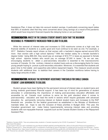Assistance Plan, it does not take into account student savings. A particularly concerning report states that 68% of students cited that they were concerned about using savings as a result of the pandemic which would have long-term financial impacts like delaying home or car purchases.<sup>9</sup>

### R**ecommendation:** Invest in the Canada Student Grants such that the maximum receivableis permanentlyincreased from \$3,000 to \$6,000.

While the removal of interest rates and increases to CSG maximums comes at a high cost, the financial stability of students is a public good and must continue to be seen as one. For example, a 2017 Statistics Canada report shows us that women with a bachelor's degree earned around 60% more than women with a high school diploma.<sup>10</sup> With the median salary for a female bachelor's degree holder being \$68,342, they would pay an average of \$14,777 in taxes as opposed to female high school diploma holders who would pay on average \$7,000 in taxes.<sup>11</sup> As we can see, encouraging students to attain a post-secondary education is essential to the macroeconomic success of Canada. On the contrary, interest on student loans acts as a discouraging factor for many young people hoping to pursue a post-secondary education. Moreover, it is essential that students are given time to find stable and supportive jobs before repayment begins. This measure would provide students with additional time to stabilize their careers in the Canadian workforce before having to repay large amounts of debt.

#### **RECOMMENDATION:** INCREASE THE REPAYMENT ASSISTANCE THRESHOLD FOR SINGLE CANADA STUDENT LOAN BORROWERS TO \$50,000.

Student groups have been fighting for the permanent removal of interest rates on student loans and turning towards grant-based financial support. It has been top of mind for generations of student advocates in understanding the importance of making post-secondary education affordable and accessible by all. Canada must continue to serve as the *gold standard* when it comes to post-secondary education and lead the world in sectors which require graduates with advanced education. As permanently removing interest on federal student loans and increases to the RAP threshold are priorities for the federal government as established in the Minister of Workforce's mandate letter, we hope to see the inclusion of these priorities in Budget 2022. This year, the Canadian government can make history bypermanently removing interest rates and providing students with non-repayable financial supports such as the Canada Student Grants or the Repayment Assistant Plan.

<sup>9</sup>Statistics Canada (2020). "How are postsecondary students in Canada impacted by the COVID-19 pandemic?". Retrieved from: https://www150.statcan.

gc.ca/n1/pub/11-627-m/11-627-m2020032-eng.htm?fbclid=IwAR2Fust6ZXtCuHmFNp29G2T8H\_WPxmJ7UAmJKZx7FIGzzUveYsqpwNaHvro 10 Statistics Canada (2017). "Does education pay? A comparison of earnings by level of education in Canada and its provinces and territories". Census in Brief. Retrieved from: https://www12.statcan.gc.ca/census-recensement/2016/as-sa/98-200-x/2016024/98-200-x2016024-eng.cfm <sup>11</sup> Ernest Young. 2021 Personal tax calculator. Retrieved from: https://www.eytaxcalculators.com/en/2021-personal-tax-calculator.html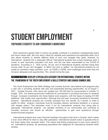### STUDENT EMPLOYMENT

### PREPARING STUDENTS TO JOIN TOMORROW'S WORKFORCE

Work experience gained while in school can greatly contribute to a student's undergraduate career and future career path. Not only does it allow for valuable work experience and applicable skills, but it also allows students to witness different fields of work and navigate their goals. However, for international students this is especially difficult. International students face unique hardships when it comes to post secondary education and work, and this has been exacerbated by the COVID-19 pandemic. According to a 2020 survey, 26 per cent of international students reported losing their income while 34 per cent struggled to afford rent and/ or utilities. <sup>1</sup> As international students do not qualify for pandemic wage subsidies, such as CESB or CERB, more challenges arise when they are not given adequate work opportunities. This should not be the case.

### RECOMMENDATION: Develop a specialized categoryfor internationalstudents within THE FRAMEWORK OF THE YOUTH EMPLOYMENT & SKILLS STRATEGY AND CANADA SUMMER JOBS.

The Youth Employment and Skills Strategy and Canada Summer Jobs federal work programs play a vital role in providing students with jobs and experiential learning opportunities. As of August 1, 2021, Canada Summer Jobs alone has created over 160 000 jobs for young people in Canada.<sup>2</sup> In budget 2021, the federal government reaffirmed its commitment to providing more jobs for students through increased investments into these federal work programs, with the hopes of creating 215 000 additional high quality work opportunities.<sup>3</sup> Although this has been immensely beneficial for domestic students, international students are currently excluded from this benefit. As it stands, In order to qualify for either program, individuals must be Canadian citizens, permanent residents, or a person with refugee status.<sup>4</sup> This eliminates most, if not all, international students from being able to participate. International students are valuable members of our communities who contribute to Canada's economy and should be afforded opportunities to gain work experience through student-focused programs.

International students face many financial hardships throughout their time in Canada, which makes it even more difficult for them to stay after graduation. International student tuition is typically three to five times higher than domestic tuition. This means that finding employment is even more critical for our international students. By developing specialized skill categories for international students within existing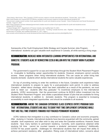<sup>1</sup>Sara Asalya, Akla Kumar, "Why Canada's COVID recovery needs to include international students", Toronto Star, July 8, 2021,

https://www.thestar.com/ opinion/2021/07/08/why-canadas-covid-recovery-needs-to-include-international-students.htm

<sup>2</sup> Government creates record number of job opportunities for youth and students across Canada", Cision Employment and Social Development Canada, August 4, 2021,

https://www.newswire.ca/news-releases/government-creates-record-number-of-job-opportunities-for-youth-and-students-across canada-897072108.html.

3 "Federal Budget 2021", Department of Finance Canada, last modified April 19, 2021,

https://www.budget.gc.ca/2021/report-rapport/toc-tdm-en.html. <sup>4</sup> "Funding: Canada Summer Jobs - Eligibility", Employment and Social Development Government of Canada, last modified December 27, 2017, https://

www.canada.ca/en/employment-social-development/services/funding/canada-summer-jobs/eligibility.html.

frameworks of the Youth Employment Skills Strategy and Canada Summer Jobs Program, international students can gain valuable work experience in Canada, all while earning a living wage.

### RECOMMENDATION: Increase work-integrated learning opportunitiesfor international and domestic students alike by reinvesting \$239.8 million into the Student Work Placement Program.

The government's support for co-ops and internships through the Student Work Placement Program is invaluable to facilitating career opportunities for students. However, employers cannot currently access these programs when hiring international students. This can cause an unfair hiring bias towards domestic students which denies international students the same valuable experiences.

On top of providing training to enter the workforce in the future, Canadian work experience helps international students to prepare to apply for a post-graduation work permit. In order to address Canada's skilled labour shortage, which has been intensified as a result of the pandemic, we must work to retain our students after they graduate.<sup>5</sup> To incentivise employers to hire international students, UCRU recommends that the government continue its \$239.9 million investment into the Student Work Placement Program and create a specialized stream of jobs that are available for hiring international students, in addition to domestic students. This program is essential to increasing accessibility to work-integrated opportunities and should be available to all students.

### RECOMMENDATION: Amend the Canadian Experience Class (Express Entry) program such that internationalstudents are ableto countparttimeemploymentexperience while THEY ARE FULL TIME STUDENTS TOWARDS FAST-TRACKED PERMANENT RESIDENCY.

UCRU believes that immigration is a key contributor to Canada's culture and economic prosperity. After studying in Canada, international students have become acquainted with the community, gained valuable work experience, and often wish to stay and enter the Canadian workforce. However, these students face many barriers to permanent residency. Currently, work experience obtained while studying full time cannot be counted towards a students' permanent residency. <sup>6</sup> Additionally, COVID-19 has posed specific challenges for international students that will impact their ability to achieve permanent residency after graduation. Rising costs of international tuition, concerns about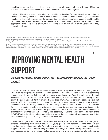travelling to pursue their education, and a shrinking job market all make it more difficult for international students to settle in Canada after they have finished their degrees.

Almost 50% of all international students surveyed in 2015 worked full or part time in order to finance their studies.<sup>7</sup> Being unable to count this work experience towards permanent residency would result in lengthening their path to residency. By removing this restriction, international students would be able to obtain permanent residency either before or soon after they graduate,, depending on their application time. This would only further incentivize them to stay and work in Canada once they complete their studies.

8

## IMPROVING MENTAL HEALTH SUPPORT

### Creating Sustainable Digital Support Systems to Eliminate Barriers to Student **SUCCESS**

The COVID-19 pandemic has presented long-term adverse impacts on students and young people. The overwhelming majority of post-secondary students (70%) expressed that they were experiencing stress, anxiety, and/or felt isolated in a survey conducted by Canadian Alliance of Student Associations (CASA) in May 2020<sup>1</sup>. In the same survey 60% of students reported feeling worried about the pandemic and 82% felt worried about their futures. <sup>2</sup> A pre-pandemic study reported that almost 64% of university-aged students felt that things were hopeless, with over 88% feeling overwhelmed, 69.6% feeling lonely, and 51.6% feeling so depressed that it was difficult to function.<sup>3</sup> Early in the pandemic, school administrators also noted in a survey that there were increases in student anxiety as well. As a result, the pandemic has further exacerbated the mental health crisis amongst young Canadians and specifically post-secondary students. A key solution to many of the COVID-19-related and standalone mental health issues that students and young people face is the promotion of easily accessible digital mental health services.

Although Budget 2021 provided \$100 million over three years to mental health initiatives geared towards supporting marginalized populations, young people, and front-line workers, there are still clear barriers in place especially for students when attempting to access traditional mental health supports. These barriers include long wait-times, a shortage of mental health professionals, culture and language barriers, and stigma-related concerns. Living in rural areas is also a large barrier for

<sup>5</sup> Maan Alhmidi, "Ontario government seeking to double skilled immigrants to address labour shortage", Global News, November 4, 2021, https://globalnews. ca/news/8349542/ontario-double-skilled-immigrants-labour-shortage/

<sup>&</sup>lt;sup>6</sup> "Eligibility to apply for the Canadian Experience Class (Express Entry)", Immigration and Citizenship, Government of Canada, last modified January 7, 2021,

https://www.canada.ca/en/immigration-refugees-citizenship/services/immigrate-canada/express-entry/eligibility/canadian-experience-class.html<sup>7</sup> Marc Frenette, Yuqian Lu, Winnie Chan, "The Postsecondary Experience and Early Labour Market Outcomes of International Study Permit Holders", Statistics Canada, September 20, 2019, https://www150.statcan.gc.ca/n1/pub/11f0019m/11f0019m2019019-eng.htm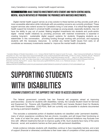many Canadians in accessing mental health support services.

### RECOMMENDATION: MAKE TARGETED INVESTMENTS INTO STUDENT AND YOUTH-CENTRIC DIGITAL mental health initiatives byprovidingtheprovinces with matched investments.

Digital mental health support serves as a key solution to these barriers as they provide youth with a more accessible alternative while individuals with pre-existing concerns are currently prioritized. These support services also extend access for Canadians living in rural areas. It is critical that digital mental health support be included in universal health coverage as young people, especially students, may not have the ability to pay out of pocket. Making targeted investments into students and youth-centric digital mental health initiatives by providing provinces with matched investments is essential in creating long-term sustainable digital support systems for students. Engaging students as a stakeholder in this conversation, providing funding through working with provinces, and equipping students with the necessary resources to combat any mental health issues from early on all constitutes as necessary investments needed to improve the mental health of students.

<sup>1</sup> Canadian Alliance of Student Associations. (n.d.). Campus Mental Health the impact of covid-19 on post ... https://campusmentalhealth.ca/. Retrieved December 22, 2021, from https://www.campusmentalhealth.ca/wp-content/uploads/2021/06/CICMH\_COVID-19\_Impact\_Infosheet\_EN.pdf <sup>2</sup> Research and Development Toronto District School Board. (n.d.). Back to school: Supporting transitions and RE ... - tdsb.on.ca. https://www.tdsb.on.ca . Retrieved December 25, 2021, from https://www.tdsb.on.ca/Portals/0/docs/Presentation%20from%20Lets%20Connect%20Session%202.pdf 3 Executive summary Spring 2019 - cacuss. https://www.acha.org/NCHA/NCHA\_Home. (n.d.). Retrieved January 1, 2022, from https://www.cacuss.ca/files/

Research/NCHA-II%20SPRING%202019%20CANADIAN%20REFERENCE%20GROUP%20EXECUTIVE%20SUMMARY.pdf.

### SUPPORTING STUDENTS WITH DISABILITIES

### ENSURING STUDENTS GET THE SUPPORTS THEY NEED TO ACCESS EDUCATION

The federal government currently has two financial aid programs aimed at improving post-secondary access for students with disabilities; namely, the Canada Student Grant for Services and Equipment for Persons with Disabilities (CSG-PDSE) and Canada Student Grant for Students with Permanent Disabilities (CSG-PDA). Both are currently only accessible to students documented as having a permanent disability.<sup>1,2</sup>

This excludes a substantial portion of disabled students not classified under 'permanent disability', many of whom experience conditions that are chronic, incurable, and will impact their functioning on the scale of at least five years, but the specific associated functional limitations may fluctuate over time with different treatments that aim to improve quality of life. Such students face many of the same financial, social, and academic barriers as their peers with permanent disabilities.

Ample evidence indicates students with disabilities continue to face inequitable barriers, and a lack of support (financial or otherwise) contributes to their lower rates of completion of their post-secondary